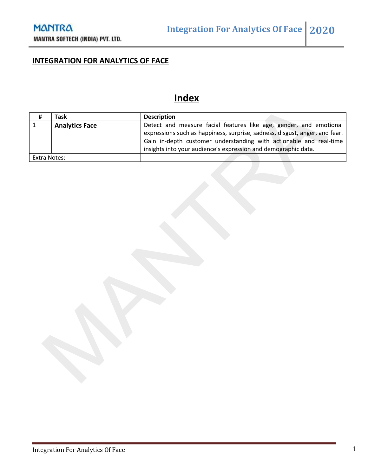### **INTEGRATION FOR ANALYTICS OF FACE**

# **Index**

| #            | Task                  | <b>Description</b>                                                          |
|--------------|-----------------------|-----------------------------------------------------------------------------|
|              | <b>Analytics Face</b> | Detect and measure facial features like age, gender, and emotional          |
|              |                       | expressions such as happiness, surprise, sadness, disgust, anger, and fear. |
|              |                       | Gain in-depth customer understanding with actionable and real-time          |
|              |                       | insights into your audience's expression and demographic data.              |
| Extra Notes: |                       |                                                                             |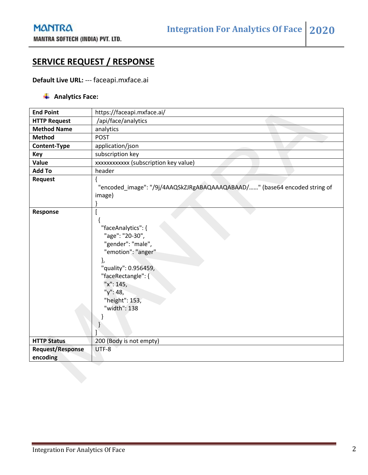### **SERVICE REQUEST / RESPONSE**

#### **Default Live URL:** --- faceapi.mxface.ai

#### Analytics Face:

| <b>End Point</b>                    | https://faceapi.mxface.ai/                                                                                                                                                                      |
|-------------------------------------|-------------------------------------------------------------------------------------------------------------------------------------------------------------------------------------------------|
| <b>HTTP Request</b>                 | /api/face/analytics                                                                                                                                                                             |
| <b>Method Name</b>                  | analytics                                                                                                                                                                                       |
| <b>Method</b>                       | <b>POST</b>                                                                                                                                                                                     |
| Content-Type                        | application/json                                                                                                                                                                                |
| Key                                 | subscription key                                                                                                                                                                                |
| Value                               | xxxxxxxxxxx (subscription key value)                                                                                                                                                            |
| <b>Add To</b>                       | header                                                                                                                                                                                          |
| <b>Request</b>                      | "encoded_image": "/9j/4AAQSkZJRgABAQAAAQABAAD/" (base64 encoded string of<br>image)                                                                                                             |
| Response                            | "faceAnalytics": {<br>"age": "20-30",<br>"gender": "male",<br>"emotion": "anger"<br>},<br>"quality": 0.956459,<br>"faceRectangle": {<br>"x": 145,<br>"y": 48,<br>"height": 153,<br>"width": 138 |
| <b>HTTP Status</b>                  | 200 (Body is not empty)                                                                                                                                                                         |
| <b>Request/Response</b><br>encoding | UTF-8                                                                                                                                                                                           |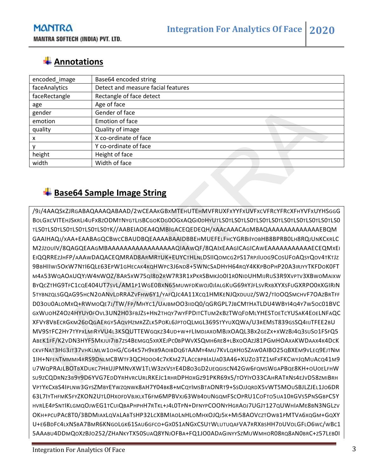## **Annotations**

| encoded_image | Base64 encoded string              |
|---------------|------------------------------------|
| faceAnalytics | Detect and measure facial features |
| faceRectangle | Rectangle of face detect           |
| age           | Age of face                        |
| gender        | Gender of face                     |
| emotion       | Emotion of face                    |
| quality       | Quality of image                   |
| x             | X co-ordinate of face              |
|               | Y co-ordinate of face              |
| height        | Height of face                     |
| width         | Width of face                      |

## **Base64 Sample Image String**

/9J/4AAQSKZJRGABAQAAAQABAAD/2WCEAAKGBXMTEHUTEHMVFRUXFXYYFXUVFXCVFRCYFRCXFHYVFXUYHSGGG BOLGXCVITEHJSKRLI4UFX8ZODMTNYGTLISBCGOKDG0OGXAQGI0DHYUTLS0TLS0TLS0TLS0TLS0TLS0TLS0TLS0TLS0TLS0 TLS0TLS0TLS0TLS0TLS0TLS0TK//AABEIAOEA4QMBIGACEQEDEQH/XAACAAACAGMBAQAAAAAAAAAAAAAEBQM GAAIHAQJ/XAA+EAABAGQCBWCCBAUDBQEAAAABAAIDBBEHMUEFELFHCYGRBIIYOBHB8BPRB0LH8RQJUNKCKRLC M2JZOUIV/8QAGQEAAGMBAAAAAAAAAAAAAAAAAQIAAWQF/8QAIXEAAGICAGICAWEAAAAAAAAAAAECEQMXEI EIQQRREZJHFP/AAAWDAQACEQMRAD8ARMRTUK+EUYCTHLNLDSIIQOMCG2PS17RPJIUOG9COSUFOAQSYQOV4TKTJZ 9BBHIIWI5OKW7NTI6QLE63EPW1GHECAK4KQHWPC3J6ND8+5WNCSADHYH64RQY4KKPBOPHP20A3IRJYYTKFDOK0FT M4A53WQAOAUQYJW4NWOZ/8AR5XW75QI8D2RW7R3R1XPKRSBMKJO0I1R0NIDUHMIJRUS3R9XVPTV3XBWOMAIXW BYQCZTHG9TFC1CQE404UT7SVL/AM1P1WGE0BXN65MUWFDKWOJ0JIALGKUG69RYJFLSVRXBXYXSFUGXRPO0RXGIRIN 5TYBNZQLSGQAG95HCN2OANVLDRRAZVFHW6Y1/YAFQJC4A11XCQ1HMKENJQXDUUZ/SW2/TIOOQSMCHVF7OAZBRTFF D03OU0ALOMXQ+RWMOQE7J/TW/FP/MHYC1/UAJBMOO3IIDQ0/QGRGPL7JBCMTHATLDU4WBYI4Q4Y7W5OC01BVC GXWUOHZ4OZ4HYUY0FOVL3UN2H03FBJZS+HN2THQY7WYFPDITCTUM2KBZTWQFDMLYHESTOETCYUSAK4EOELNFAQC XFVY8VBECRGKM26DQGAERGY5AQVHZMRZZLK5POKL6JPTOQLMGL369STYYUXQWA/U3REMST839GSSQ4IIJTFEE2BU MV9STFC2HY7TYPXLMIRYVU4L3KSQUTTEWGQKZ34UD+W+FLIMDJAXOMBJXOAQL3BX2GEZX+XWZBJ4Q3SUSO1FSFQ5 ABEK1FF/K2VDN3HYF5MKJUI7IB7ZS4BEMGQ5XRXEJPC0BPWVXSQMH6RE8+LBXOOAZJ81PGMHOAXAKWDAAX4K4DCK CKVFNAT3HG3JT37VHKLMLW1OHG/CG4K57H9KB9AOIBDQ6TAAMY4MU7KVLQRHOSZAW0AIBO25QBXEM9VLEQ9EJTNM 1IH+NFENTMMMI4RRS9DNLMCBWTF3QCHDOO4C7KKM27LACCBPBIAUA03A46+XUZO3TZ1MFXFKCWYJQMUACQ41M9 U7WQPRAJLBOTBXDUKC7HRUJPMNVXW1TLW3ZKVSYE4D8O3GD2UEQGISCN42GW6FQMSWGAPBQE8KH+OUOELFHW SU9ZCQDRNZ3B9Y9D6YVG7EDDYRHVRCURLRKEJC1RHRDPHDXGZ91PKR69X5/TOYIYO33CAHRATRNS4EJVD58ZMIBRH VPTYKCXBS4IPLNW3GYSZMBYEYWZQNWK8AH7Y04BK8+MCQYIMSBTAONRT9+SSOJJQRDX5VWT5MOUSBJLZJEL1JO6DR 63L7IYTHFMK5FYZKON2UTL0HXOFDVBJKLXT6FM6MPBVXJ63WB4DUNGQMFSCOPRU1COFTO5UA10RGVS5PNSGBPC5Y HVRLE4PSNTIKLGMQOJWEG1TCUIQBAPHPHH7RTKL+J4L0TPN+DFNYPCOONYHGRAOJ7UGJT127QUWHIAME8BN3NGLZV OKH+PCUPAC8T0/3BDMIAXLQVALABTSHP32LCXBMIAOLNHLOMHXOJQJ5K+MI58AOVCZTOWB1PMTVA6XQGM+GQXY U+E6BDFC4LXNSBA7BMR6KNGOLGK61SAU6GFCO+GX0S1ANGXCSUTWLUTUQAFVA7RRXBSHH7DUVOLGFLO6WC/WBC1 5AAABU4DDMQOXZBJO252/ZHANKYTX50SUAQ8YNJOFBA+FQ1JO0ADAGINYYSZMUWMHOR08RQ8AN0BRC+Z57LEB0I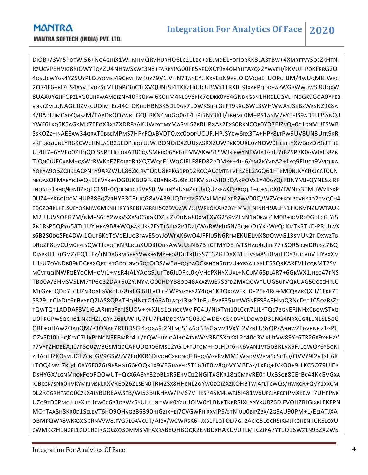DIOB+/3VF5POTWI56+NQ4GJHX1WHMHMQRVHURHO6LC21LBC+DELMDE1YOFIORKK8LA3TBW+4XMRTTVY5OEZKHTNI RZUCVPEHVIG8RIOWYTQAZU4NHSWSXWE3N8+FARKYPG00FB5APOXCT9X4OMYHTAXQX2YWVEH/PKVUJHPQKFRRG2O 4OSUCWYGS4YZ5UYPLCOYOMEJ49CFMHWKUY79V1JVTIN7TANEYJJKXAEDN9RELOIDVQMETUOPCHJM/4WUQM8LWPC 2O74F6+BI7US4XYVJTVOZSTML0NPL3DC1LXVQUNLSJ4TKKZHIUICUBWX1LRKBL9IXARPQOD+APWGPWWUWSI8UQXW 8UAXUYGJIFQPZLXG0UHPWAMQIZNY40FG0KWI6G0HM4NL0V6KIX7QDKK0Y64GNBNGBN1HRDLCQVL+NDGK9GOA0YKEB VNKTZMLQNAGIS0ZVZCUOIMTEC44CTOKHDHBNSK5DL9GR7LDWKSBFLGEFT9KXO6WL3WHWWAYJ3BBZWKSNZ9GSA 4/8ADUJMCADQMSZM/TAADROOYWRUGQURKN4NDGQ0GE4UPI5NY3KH/TBHMC0M+PS1ANM/BYEFJS9AD5U3SYNQ8 YWF6LKQ5K5AGKMK7EFOXRXTZXDR8SAKUWDYTMYMARVLS2RRHPGAR2EXS0RSNCOE0YD7FJZVQ+0C1DNMUESWB SSKOZZ+INAEEAW34QRAT0BBEMPMS7HPYFQABVDTOJXC0OOPUCUFJHPJSYCW6RX3TA+HPY8LTPW9UV8UN3UFR9KR PKFQKGJUNLYR6KCWCHNLA1B25EDPJBOTUJWJBONOICXZUUXASRXZUWPKK9UXLUYNQW0HLBJ+YXWBDZDY9FJTTIE UJ4H7+6YVFO0ZHQQDJSNPEHOJORAT86QVSMEJX06YE6TEMVAKW515WJKIEWYNEWIA1GTU7JRZ5P7K0GWIAID8ZB TJQN0IUE0XBM+QSWFRWKDE7EGJRCRRXQ7WQEE1WQCJRLF8FD82PDMX++4JH6/SM2KYVDA2+1YQ9EIUCB9VVIQIKA YQKAA9QBZCHKKACPNHY9APZWUL86ZKLRVTQDU8KPKG1PDD2RCQACCMTB+VFEZEL2SGQ61FTKM9NJKYCRXJCCT0CN NPOAXOFMAEYR8WQKEEKVYR+YDGDJKBU9FC9BANRF5U9KL0FKVISUKAH0DQARPOVS1Y40GYQLKBNYMJEQYNESXIRF LNOATG1BHQ9ONBZPQLC1SBE0QOLGCDU5VRS0LWTLBYRUSNZETURQUZKFAKQPXQQI1+Q+NJDX0/IWNLY3TMUWVKSXP 0UZ4+YKBOIOCMHUP386QZZRHYP3CEJUQG8AV439UQDTZTZGXVALMOBLXFP2WV00Q/WZVC+KOLBCVNKRD2EMQCH4 EQOZQ4KL+TLS0EYOKMIWGMKNHTPYBKEBPAZRRH5OZDV0ZW7JJIWRKORARZOYFMVJHNINRH9ALFN1FI08MNZUWTAUK M2JUUVSOFG7M/NM+S6CY2WXVSXASIC5RGKDZDJZK0ONG80XMTXVG259VZLNN1N0RAQ1M0B+JOVRC0GDLCGJYI5 2B1RSP5QPYG58TL1UYIHRA9B8+WQBAXHKK2FYTTSJIIA2P3DZI/WGRWJ4DSN/3QHODTYKGWPQCKJZTBRTKEFPRLJJWX S6B2S0DGSFE4DWI1QUF6KGTCVGEJUQ3FAVE5OYJOWFAK6WO4JFFIU5N6RFMEKUELMX8DOWVG13SMUN2TIDXWZTB DROZF8QVCUM0FPLSQWTJKAQTKNRLRLBXUD3IOBNAWVJUSNB73HCTMYDEHVTSHAD4QIBB77+SQR5ICMDRUSA7BQ DIAPKJJ1OTGMZYFQ1CFY/TNDA6RM5EHYVWK+YMYF+O8DCTRHLSS7T3ZGJDAXB1DTVSM8ST8MTHOY3UJCADVIHYBXXM LHYU7OVNDB89KDCFBGQETLATGDOLGVO6QTOIDS/W5G+QQDAOCSEHYN5DTVU+YRYAILAALE5SQRKAXFVI1CQBMT2SV MCVFQQINWFQEYOCM+QVI1+MSR4JALYAOG9JUTTB6JLDFKL0K/VHCPXHYXUXL+NCUM65DL4R7+6GKWX1JHEG47FNS TBO0A/3HMSV5LM7TP6Q32DA+6UZYJNYVJO00HDYB8OO48AXAZWJE7SBFDZMXQ0WTUUG5UFVQKUAG50QEEHKLC MTGY+TQDD7LOHZNROALGVRDIUX8JREGI6HLAOIO4WPYIZYBS2Y4QH1KRQXOWFKU0H25K4RO+MCQAARQXH/1FKK7T S829UPCIADIC6BBAYRQ7IAS8QPATHQHNCFC4A3ADLAQKI3SK21PFUJ9VPF35NJEWGNFFS8ABHBRQ3NCDST1C5OZRSZZ TQWTQT1ADDAF3V1I6LARHRBFBTJSUOV+K+XJLG1OIHGCWVIFC4U/NJXTYH10LCCR7LJLYTQE7BGNEFJNHXCBQWSTAQ LI0PPGPWSQCH61INKEHZJJOYNZ6BUWHU7FU7FL4DDEKWTG03JOWDENCEKIDVYLDQWOD31NG4NRXCG4LLNLSL5GG ORE+OHAW2OADQM/P3ONAK7RTBDSGI4ZOGA9J2NLML51A6OBBSGGMV3VKYL2VZNLUSYQPXAHHWZEGVHNFJZ1GPJ OZVSDI0ILHQKEYC7UAPFNGNEEBMRF4UI/PQWHUYJOAI+O4TYBWW3BCSXOKXL2C40G3VIKUTVW89YE6TR26R9X+HZV P7VYPZHDBEAJI0/P5QUZWBGSMQDCAPUDQRO6MS12YGIL+FUFOM+HOLHDF6HK6VAN1VT5O3RLVX9FJLOWOY6Y5QKI YHAQLJZKOSMUGLZCBLGV9GSWZV7FQKKR6DIVOHCXBONQFIB+QSVGERVMM1WGDVWPM5CSCTQ/OVVY9I2ATSH6K TTOQ4MVL7RQ4L0AY6F026T9P8HGT66ROQB1X9VFGUABFDST1G3IT0W8QDVYMBEAZ/LKFQ+JVXO0+9LLKC5O79UIEP DSHYGX/LGNMROKFGOFQOWUT+QXX6A6YY32DBLXR5EHVQZ2NGITAGKR18QCMPVRE0TIUXBSGB8CEFBC44KXGVGXA ICBKGK/SNR0HVKYMRIMSKLRXVREO26ZLSEN0TRM2SX8HHENL2OYW0ZQIZXZKOHBTWI4FLTCWQS/HWKCR+QVY1XXCM DL2ROGRHTSOO0CZKX4LYBDREAWSEB/WI53BUKHAW/PMS7V+IKSP4SM4JWTJ5I481W6UFCJARCEJPMXKEW+7UHEPNK UZO9TD0PMOJLUFXIITHTW6C6P3OPWY5YUHUJGITWIK0YZUUOIW0YLBNETKPR7IXUSGYXU8Z6DIFVOHZRJGIXELEKFPN MOTTAA8H8KR0D1SELEVT6HO9OHVGBB6390HJGZJX+EI7CVGWFHIRXVIPS/STNIUU0BIPZBX/2G9AU90PM+L/EEIATJXA OBMPQWR8WKXXCSGRNVVW8JFYG7L0AVCUT/AIBX/WCWRSK6HJXBLFLQTOLJ7GHZACIG5LOCRSIKMJIKOHBNHCR5LOXU CWMKKZH1NGFL1GD1RCIRGOGXQ3OMMSMFAXRABEQHBOQK2ENBDXHAKUVUTLM+CZIPA7YT1O16WZ1N93ZX2WS